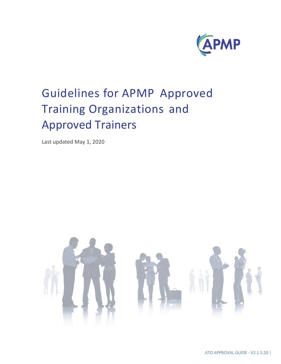

# Guidelines for APMP Approved Training Organizations and Approved Trainers

Last updated May 1, 2020

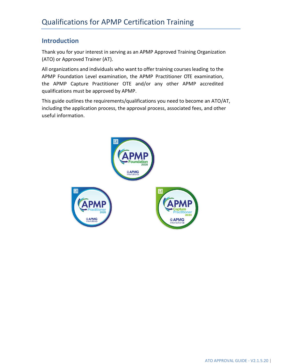# **Introduction**

Thank you for your interest in serving as an APMP Approved Training Organization (ATO) or Approved Trainer (AT).

All organizations and individuals who want to offer training coursesleading to the APMP Foundation Level examination, the APMP Practitioner OTE examination, the APMP Capture Practitioner OTE and/or any other APMP accredited qualifications must be approved by APMP.

This guide outlines the requirements/qualifications you need to become an ATO/AT, including the application process, the approval process, associated fees, and other useful information.

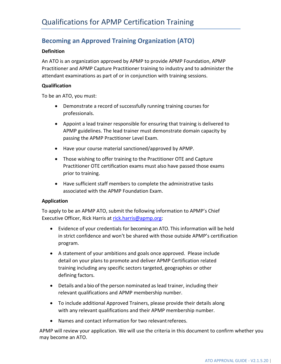# **Becoming an Approved Training Organization (ATO)**

### **Definition**

An ATO is an organization approved by APMP to provide APMP Foundation, APMP Practitioner and APMP Capture Practitioner training to industry and to administer the attendant examinations as part of or in conjunction with training sessions.

### **Qualification**

To be an ATO, you must:

- Demonstrate a record of successfully running training courses for professionals.
- Appoint a lead trainer responsible for ensuring that training is delivered to APMP guidelines. The lead trainer must demonstrate domain capacity by passing the APMP Practitioner Level Exam.
- Have your course material sanctioned/approved by APMP.
- Those wishing to offer training to the Practitioner OTE and Capture Practitioner OTE certification exams must also have passed those exams prior to training.
- Have sufficient staff members to complete the administrative tasks associated with the APMP Foundation Exam.

#### **Application**

To apply to be an APMP ATO, submit the following information to APMP's Chief Executive Officer, Rick Harris at [rick.harris@apmp.org:](mailto:rick.harris@apmp.org)

- Evidence of your credentials for becoming an ATO. This information will be held in strict confidence and won't be shared with those outside APMP's certification program.
- A statement of your ambitions and goals once approved. Please include detail on your plans to promote and deliver APMP Certification related training including any specific sectors targeted, geographies or other defining factors.
- Details and a bio of the person nominated as lead trainer, including their relevant qualifications and APMP membership number.
- To include additional Approved Trainers, please provide their details along with any relevant qualifications and their APMP membership number.
- Names and contact information for two relevantreferees.

APMP will review your application. We will use the criteria in this document to confirm whether you may become an ATO.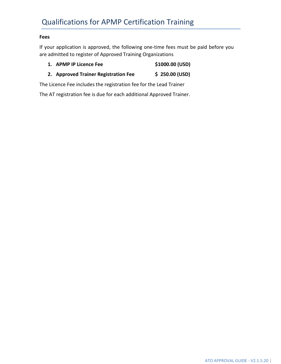## **Fees**

If your application is approved, the following one-time fees must be paid before you are admitted to register of Approved Training Organizations

- **1. APMP IP Licence Fee \$1000.00 (USD)**
- **2. Approved Trainer Registration Fee \$ 250.00 (USD)**

The Licence Fee includes the registration fee for the Lead Trainer

The AT registration fee is due for each additional Approved Trainer.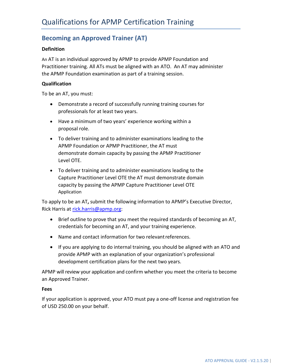# **Becoming an Approved Trainer (AT)**

## **Definition**

An AT is an individual approved by APMP to provide APMP Foundation and Practitioner training. All ATs must be aligned with an ATO. An AT may administer the APMP Foundation examination as part of a training session.

## **Qualification**

To be an AT, you must:

- Demonstrate a record of successfully running training courses for professionals for at least two years.
- Have a minimum of two years' experience working within a proposal role.
- To deliver training and to administer examinations leading to the APMP Foundation or APMP Practitioner, the AT must demonstrate domain capacity by passing the APMP Practitioner Level OTE.
- To deliver training and to administer examinations leading to the Capture Practitioner Level OTE the AT must demonstrate domain capacity by passing the APMP Capture Practitioner Level OTE Application

To apply to be an AT**,** submit the following information to APMP's Executive Director, Rick Harris at [rick.harris@apmp.org:](mailto:rick.harris@apmp.org)

- Brief outline to prove that you meet the required standards of becoming an AT, credentials for becoming an AT, and your training experience.
- Name and contact information for two relevantreferences.
- If you are applying to do internal training, you should be aligned with an ATO and provide APMP with an explanation of your organization's professional development certification plans for the next two years.

APMP will review your application and confirm whether you meet the criteria to become an Approved Trainer.

## **Fees**

If your application is approved, your ATO must pay a one-off license and registration fee of USD 250.00 on your behalf.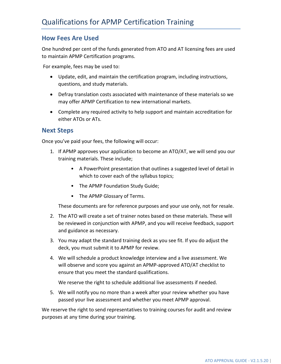## **How Fees Are Used**

One hundred per cent of the funds generated from ATO and AT licensing fees are used to maintain APMP Certification programs.

For example, fees may be used to:

- Update, edit, and maintain the certification program, including instructions, questions, and study materials.
- Defray translation costs associated with maintenance of these materials so we may offer APMP Certification to new international markets.
- Complete any required activity to help support and maintain accreditation for either ATOs or ATs.

## **Next Steps**

Once you've paid your fees, the following will occur:

- 1. If APMP approves your application to become an ATO/AT, we will send you our training materials. These include;
	- A PowerPoint presentation that outlines a suggested level of detail in which to cover each of the syllabus topics;
	- The APMP Foundation Study Guide;
	- The APMP Glossary of Terms.

These documents are for reference purposes and your use only, not for resale.

- 2. The ATO will create a set of trainer notes based on these materials. These will be reviewed in conjunction with APMP, and you will receive feedback, support and guidance as necessary.
- 3. You may adapt the standard training deck as you see fit. If you do adjust the deck, you must submit it to APMP for review.
- 4. We will schedule a product knowledge interview and a live assessment. We will observe and score you against an APMP-approved ATO/AT checklist to ensure that you meet the standard qualifications.

We reserve the right to schedule additional live assessments if needed.

5. We will notify you no more than a week after your review whether you have passed your live assessment and whether you meet APMP approval.

We reserve the right to send representatives to training courses for audit and review purposes at any time during your training.